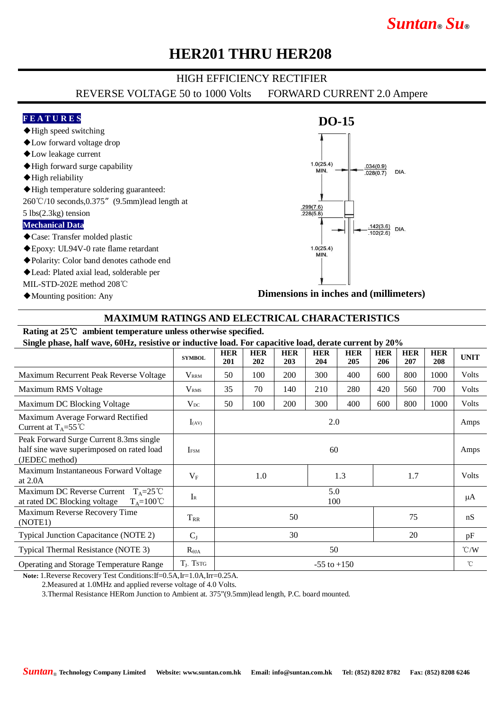# *Suntan***®** *Su***®**

### **HER201 THRU HER208**

#### HIGH EFFICIENCY RECTIFIER

REVERSE VOLTAGE 50 to 1000 Volts FORWARD CURRENT 2.0 Ampere

#### **F E A T U R E S**

- ◆High speed switching
- ◆Low forward voltage drop
- ◆Low leakage current
- ◆High forward surge capability
- ◆High reliability
- ◆High temperature soldering guaranteed:
- 260℃/10 seconds,0.375"(9.5mm)lead length at

#### 5 lbs(2.3kg) tension

#### **Mechanical Data**

- ◆Case: Transfer molded plastic
- ◆Epoxy: UL94V-0 rate flame retardant
- ◆Polarity: Color band denotes cathode end
- ◆Lead: Plated axial lead, solderable per

MIL-STD-202E method 208℃

◆Mounting position: Any

### **DO-15**  $1.0(25.4)$  $.034(0.9)$ MIN. **DIA**  $.028(0.7)$  $\frac{.299(7.6)}{.228(5.8)}$  $\frac{.142(3.6)}{.102(2.6)}$  DIA.  $.102(2.6)$  $1.0(25.4)$ MIN.

**Dimensions in inches and (millimeters)**

#### **MAXIMUM RATINGS AND ELECTRICAL CHARACTERISTICS**

### **Rating at 25**℃ **ambient temperature unless otherwise specified.**

**Single phase, half wave, 60Hz, resistive or inductive load. For capacitive load, derate current by 20%**

| $\beta$ , $\beta$ , $\beta$ , $\alpha$ , $\beta$ , $\alpha$ , $\beta$ , $\alpha$ , $\beta$ , $\alpha$ , $\beta$ , $\alpha$ , $\beta$ , $\alpha$ , $\beta$ , $\alpha$ , $\beta$ , $\alpha$ , $\beta$ , $\alpha$ , $\beta$ , $\alpha$ , $\beta$ , $\alpha$ , $\beta$ , $\alpha$ , $\beta$ , $\alpha$ , $\beta$ , $\alpha$ , $\alpha$ , $\alpha$ |                         |                   |                   |                   |                   |                   |                   |                   |                   |             |
|-----------------------------------------------------------------------------------------------------------------------------------------------------------------------------------------------------------------------------------------------------------------------------------------------------------------------------------------------|-------------------------|-------------------|-------------------|-------------------|-------------------|-------------------|-------------------|-------------------|-------------------|-------------|
|                                                                                                                                                                                                                                                                                                                                               | <b>SYMBOL</b>           | <b>HER</b><br>201 | <b>HER</b><br>202 | <b>HER</b><br>203 | <b>HER</b><br>204 | <b>HER</b><br>205 | <b>HER</b><br>206 | <b>HER</b><br>207 | <b>HER</b><br>208 | <b>UNIT</b> |
| Maximum Recurrent Peak Reverse Voltage                                                                                                                                                                                                                                                                                                        | <b>VRRM</b>             | 50                | 100               | 200               | 300               | 400               | 600               | 800               | 1000              | Volts       |
| Maximum RMS Voltage                                                                                                                                                                                                                                                                                                                           | V <sub>RMS</sub>        | 35                | 70                | 140               | 210               | 280               | 420               | 560               | 700               | Volts       |
| Maximum DC Blocking Voltage                                                                                                                                                                                                                                                                                                                   | $V_{DC}$                | 50                | 100               | 200               | 300               | 400               | 600               | 800               | 1000              | Volts       |
| Maximum Average Forward Rectified<br>Current at $T_A = 55^{\circ}$ C                                                                                                                                                                                                                                                                          | $I_{(AV)}$              | 2.0               |                   |                   |                   |                   |                   |                   |                   | Amps        |
| Peak Forward Surge Current 8.3ms single<br>half sine wave superimposed on rated load<br>(JEDEC method)                                                                                                                                                                                                                                        | <b>IFSM</b>             | 60                |                   |                   |                   |                   |                   |                   |                   | Amps        |
| Maximum Instantaneous Forward Voltage<br>at $2.0A$                                                                                                                                                                                                                                                                                            | $V_{F}$                 | 1.0               |                   |                   | 1.3               |                   | 1.7               |                   | Volts             |             |
| Maximum DC Reverse Current $T_A = 25^{\circ}C$<br>at rated DC Blocking voltage<br>$T_A = 100^{\circ}C$                                                                                                                                                                                                                                        | $\mathbf{I}_{\text{R}}$ | 5.0<br>100        |                   |                   |                   |                   |                   |                   |                   | μA          |
| Maximum Reverse Recovery Time<br>(NOTE1)                                                                                                                                                                                                                                                                                                      | $T_{RR}$                | 50<br>75          |                   |                   |                   |                   |                   |                   | nS                |             |
| Typical Junction Capacitance (NOTE 2)                                                                                                                                                                                                                                                                                                         | $C_{J}$                 | 30                |                   |                   |                   |                   |                   | 20                |                   |             |
| Typical Thermal Resistance (NOTE 3)                                                                                                                                                                                                                                                                                                           | $R_{\theta JA}$         | 50                |                   |                   |                   |                   |                   |                   | $\degree$ C/W     |             |
| Operating and Storage Temperature Range                                                                                                                                                                                                                                                                                                       | $T_J$ , Tstg            | $-55$ to $+150$   |                   |                   |                   |                   |                   |                   | $^{\circ}$ C      |             |

**Note:** 1.Reverse Recovery Test Conditions:If=0.5A,Ir=1.0A,Irr=0.25A.

2.Measured at 1.0MHz and applied reverse voltage of 4.0 Volts.

3.Thermal Resistance HERom Junction to Ambient at. 375"(9.5mm)lead length, P.C. board mounted.